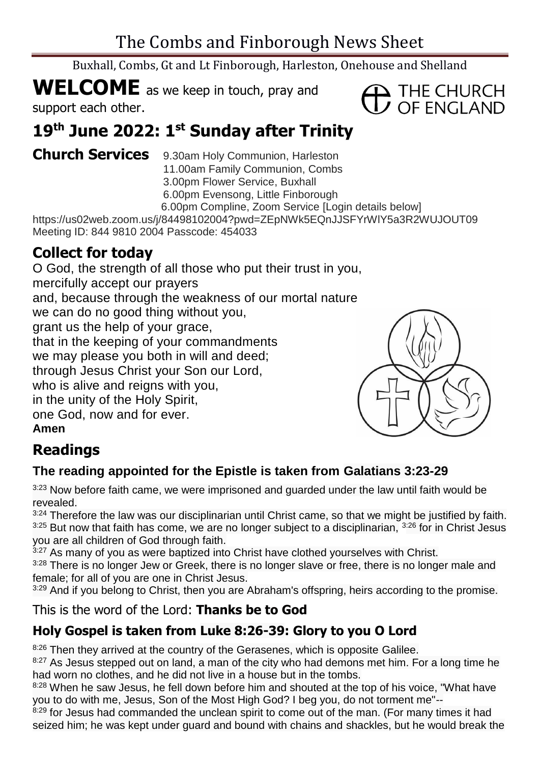Buxhall, Combs, Gt and Lt Finborough, Harleston, Onehouse and Shelland

# **WELCOME** as we keep in touch, pray and

support each other.

# **19 th June 2022: 1 st Sunday after Trinity**

**Church Services** 9.30am Holy Communion, Harleston 11.00am Family Communion, Combs 3.00pm Flower Service, Buxhall 6.00pm Evensong, Little Finborough 6.00pm Compline, Zoom Service [Login details below]

https://us02web.zoom.us/j/84498102004?pwd=ZEpNWk5EQnJJSFYrWlY5a3R2WUJOUT09 Meeting ID: 844 9810 2004 Passcode: 454033

# **Collect for today**

O God, the strength of all those who put their trust in you, mercifully accept our prayers and, because through the weakness of our mortal nature we can do no good thing without you, grant us the help of your grace, that in the keeping of your commandments we may please you both in will and deed; through Jesus Christ your Son our Lord, who is alive and reigns with you, in the unity of the Holy Spirit, one God, now and for ever.

**Amen**

# **Readings**

## **The reading appointed for the Epistle is taken from Galatians 3:23-29**

 $3:23$  Now before faith came, we were imprisoned and guarded under the law until faith would be revealed.

 $3:24$  Therefore the law was our disciplinarian until Christ came, so that we might be justified by faith.  $3:25$  But now that faith has come, we are no longer subject to a disciplinarian,  $3:26$  for in Christ Jesus you are all children of God through faith.

 $3.27$  As many of you as were baptized into Christ have clothed yourselves with Christ.

3:28 There is no longer Jew or Greek, there is no longer slave or free, there is no longer male and female; for all of you are one in Christ Jesus.

 $3:29$  And if you belong to Christ, then you are Abraham's offspring, heirs according to the promise.

## This is the word of the Lord: **Thanks be to God**

# **Holy Gospel is taken from Luke 8:26-39: Glory to you O Lord**

<sup>8:26</sup> Then they arrived at the country of the Gerasenes, which is opposite Galilee.

<sup>8:27</sup> As Jesus stepped out on land, a man of the city who had demons met him. For a long time he had worn no clothes, and he did not live in a house but in the tombs.

8:28 When he saw Jesus, he fell down before him and shouted at the top of his voice, "What have you to do with me, Jesus, Son of the Most High God? I beg you, do not torment me"--

8:29 for Jesus had commanded the unclean spirit to come out of the man. (For many times it had seized him; he was kept under guard and bound with chains and shackles, but he would break the



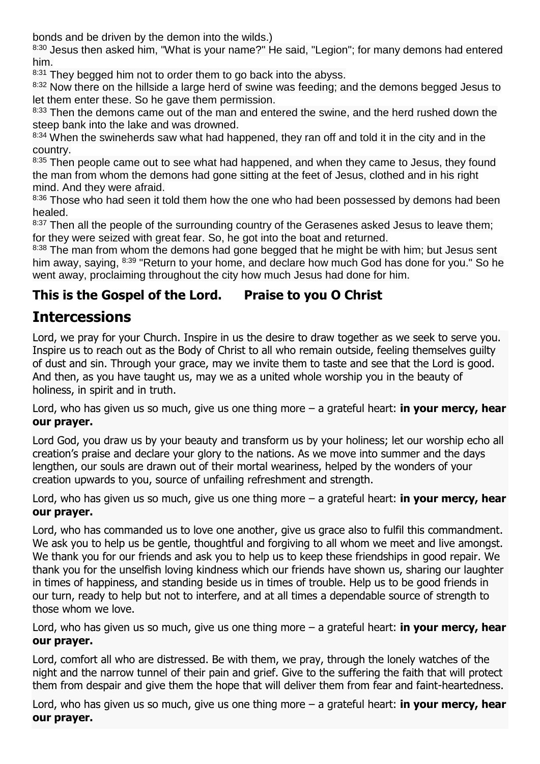bonds and be driven by the demon into the wilds.)

8:30 Jesus then asked him, "What is your name?" He said, "Legion"; for many demons had entered him.

8:31 They begged him not to order them to go back into the abyss.

<sup>8:32</sup> Now there on the hillside a large herd of swine was feeding; and the demons begged Jesus to let them enter these. So he gave them permission.

<sup>8:33</sup> Then the demons came out of the man and entered the swine, and the herd rushed down the steep bank into the lake and was drowned.

8:34 When the swineherds saw what had happened, they ran off and told it in the city and in the country.

<sup>8:35</sup> Then people came out to see what had happened, and when they came to Jesus, they found the man from whom the demons had gone sitting at the feet of Jesus, clothed and in his right mind. And they were afraid.

8:36 Those who had seen it told them how the one who had been possessed by demons had been healed.

8:37 Then all the people of the surrounding country of the Gerasenes asked Jesus to leave them; for they were seized with great fear. So, he got into the boat and returned.

8:38 The man from whom the demons had gone begged that he might be with him; but Jesus sent him away, saying, <sup>8:39</sup> "Return to your home, and declare how much God has done for you." So he went away, proclaiming throughout the city how much Jesus had done for him.

#### **This is the Gospel of the Lord. Praise to you O Christ**

# **Intercessions**

Lord, we pray for your Church. Inspire in us the desire to draw together as we seek to serve you. Inspire us to reach out as the Body of Christ to all who remain outside, feeling themselves guilty of dust and sin. Through your grace, may we invite them to taste and see that the Lord is good. And then, as you have taught us, may we as a united whole worship you in the beauty of holiness, in spirit and in truth.

Lord, who has given us so much, give us one thing more – a grateful heart: **in your mercy, hear our prayer.**

Lord God, you draw us by your beauty and transform us by your holiness; let our worship echo all creation's praise and declare your glory to the nations. As we move into summer and the days lengthen, our souls are drawn out of their mortal weariness, helped by the wonders of your creation upwards to you, source of unfailing refreshment and strength.

Lord, who has given us so much, give us one thing more – a grateful heart: **in your mercy, hear our prayer.**

Lord, who has commanded us to love one another, give us grace also to fulfil this commandment. We ask you to help us be gentle, thoughtful and forgiving to all whom we meet and live amongst. We thank you for our friends and ask you to help us to keep these friendships in good repair. We thank you for the unselfish loving kindness which our friends have shown us, sharing our laughter in times of happiness, and standing beside us in times of trouble. Help us to be good friends in our turn, ready to help but not to interfere, and at all times a dependable source of strength to those whom we love.

Lord, who has given us so much, give us one thing more – a grateful heart: **in your mercy, hear our prayer.**

Lord, comfort all who are distressed. Be with them, we pray, through the lonely watches of the night and the narrow tunnel of their pain and grief. Give to the suffering the faith that will protect them from despair and give them the hope that will deliver them from fear and faint-heartedness.

Lord, who has given us so much, give us one thing more – a grateful heart: **in your mercy, hear our prayer.**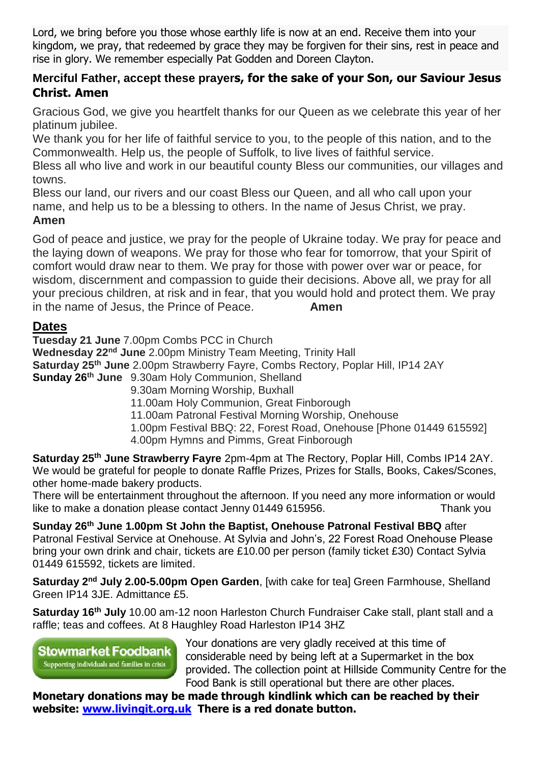Lord, we bring before you those whose earthly life is now at an end. Receive them into your kingdom, we pray, that redeemed by grace they may be forgiven for their sins, rest in peace and rise in glory. We remember especially Pat Godden and Doreen Clayton.

#### **Merciful Father, accept these prayers, for the sake of your Son, our Saviour Jesus Christ. Amen**

Gracious God, we give you heartfelt thanks for our Queen as we celebrate this year of her platinum jubilee.

We thank you for her life of faithful service to you, to the people of this nation, and to the Commonwealth. Help us, the people of Suffolk, to live lives of faithful service.

Bless all who live and work in our beautiful county Bless our communities, our villages and towns.

Bless our land, our rivers and our coast Bless our Queen, and all who call upon your name, and help us to be a blessing to others. In the name of Jesus Christ, we pray. **Amen**

God of peace and justice, we pray for the people of Ukraine today. We pray for peace and the laying down of weapons. We pray for those who fear for tomorrow, that your Spirit of comfort would draw near to them. We pray for those with power over war or peace, for wisdom, discernment and compassion to quide their decisions. Above all, we pray for all your precious children, at risk and in fear, that you would hold and protect them. We pray in the name of Jesus, the Prince of Peace. **Amen**

#### **Dates**

**Tuesday 21 June** 7.00pm Combs PCC in Church **Wednesday 22nd June** 2.00pm Ministry Team Meeting, Trinity Hall **Saturday 25th June** 2.00pm Strawberry Fayre, Combs Rectory, Poplar Hill, IP14 2AY **Sunday 26th June** 9.30am Holy Communion, Shelland 9.30am Morning Worship, Buxhall

11.00am Holy Communion, Great Finborough

11.00am Patronal Festival Morning Worship, Onehouse

1.00pm Festival BBQ: 22, Forest Road, Onehouse [Phone 01449 615592]

4.00pm Hymns and Pimms, Great Finborough

**Saturday 25th June Strawberry Fayre** 2pm-4pm at The Rectory, Poplar Hill, Combs IP14 2AY. We would be grateful for people to donate Raffle Prizes, Prizes for Stalls, Books, Cakes/Scones, other home-made bakery products.

There will be entertainment throughout the afternoon. If you need any more information or would like to make a donation please contact Jenny 01449 615956.

**Sunday 26th June 1.00pm St John the Baptist, Onehouse Patronal Festival BBQ** after Patronal Festival Service at Onehouse. At Sylvia and John's, 22 Forest Road Onehouse Please bring your own drink and chair, tickets are £10.00 per person (family ticket £30) Contact Sylvia 01449 615592, tickets are limited.

**Saturday 2nd July 2.00-5.00pm Open Garden**, [with cake for tea] Green Farmhouse, Shelland Green IP14 3JE. Admittance £5.

**Saturday 16th July** 10.00 am-12 noon Harleston Church Fundraiser Cake stall, plant stall and a raffle; teas and coffees. At 8 Haughley Road Harleston IP14 3HZ

**Stowmarket Foodbank** Supporting individuals and families in crisis

Your donations are very gladly received at this time of considerable need by being left at a Supermarket in the box provided. The collection point at Hillside Community Centre for the Food Bank is still operational but there are other places.

**Monetary donations may be made through kindlink which can be reached by their website: [www.livingit.org.uk](http://www.livingit.org.uk/) There is a red donate button.**